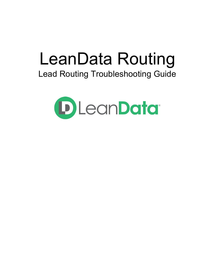# LeanData Routing Lead Routing Troubleshooting Guide

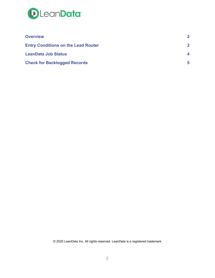

| <b>Overview</b>                            |              |
|--------------------------------------------|--------------|
| <b>Entry Conditions on the Lead Router</b> | $\mathbf{2}$ |
| <b>LeanData Job Status</b>                 | 4            |
| <b>Check for Backlogged Records</b>        | 5            |

© 2020 LeanData Inc. All rights reserved. LeanData is a registered trademark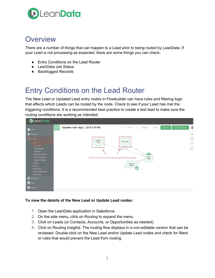

### **Overview**

There are a number of things that can happen to a Lead prior to being routed by LeanData. If your Lead is not processing as expected, there are some things you can check:

- Entry Conditions on the Lead Router
- LeanData Job Status
- Backlogged Records

## <span id="page-2-0"></span>Entry Conditions on the Lead Router

The New Lead or Updated Lead entry nodes in Flowbuilder can have rules and filtering logic that affects which Leads can be routed by the node. Check to see if your Lead has met the triggering conditions. It is a recommended best practice to create a test lead to make sure the routing conditions are working as intended.

| <b>D</b> LeanData                                                                                                                                                                                                                                                         |      |                                                                                               |                                                                                                                                                                                                                                                                                                                                                     |
|---------------------------------------------------------------------------------------------------------------------------------------------------------------------------------------------------------------------------------------------------------------------------|------|-----------------------------------------------------------------------------------------------|-----------------------------------------------------------------------------------------------------------------------------------------------------------------------------------------------------------------------------------------------------------------------------------------------------------------------------------------------------|
| 全<br>Home                                                                                                                                                                                                                                                                 | LIVE | Vacation Test- May 1, 2019 2:19 PM                                                            | $\mathbf G$<br>Save & Deploy<br>Validate<br>Close<br>Save As                                                                                                                                                                                                                                                                                        |
| Matching                                                                                                                                                                                                                                                                  |      |                                                                                               | $\begin{picture}(20,20) \put(0,0){\line(1,0){15}} \put(15,0){\line(1,0){15}} \put(15,0){\line(1,0){15}} \put(15,0){\line(1,0){15}} \put(15,0){\line(1,0){15}} \put(15,0){\line(1,0){15}} \put(15,0){\line(1,0){15}} \put(15,0){\line(1,0){15}} \put(15,0){\line(1,0){15}} \put(15,0){\line(1,0){15}} \put(15,0){\line(1,0){15}} \put(15,0){\line(1$ |
| <b>O</b> Routing<br>Leads<br>FlowBuilder<br>Routing Insights<br>Audit Logs<br>Deployment History<br>One-Time Routing<br>Advanced Settings<br>$\rightarrow$<br>Contacts<br><b>Accounts</b><br>Opportunities<br>$\rightarrow$<br><b>Territory Management</b><br>Round Robin |      | Updated<br>Lead<br>Review the conditions in the entry nodes and see if the records meet them. | $\begin{array}{c} \triangle \\ \text{Decisi} \end{array}$<br>New Lead<br>$\overbrace{\mathsf{Active}}$<br>$\begin{array}{c} \hline \ \hline \ \hline \end{array}$ Time-B.<br>Edge 2; Edge 3; Edge<br>Insert<br>L2A<br>Match<br>Node<br>Match<br>Route to<br>Territory                                                                               |
| <b>III</b> Attribution                                                                                                                                                                                                                                                    |      |                                                                                               |                                                                                                                                                                                                                                                                                                                                                     |
| $\boxed{\qquad \qquad}$ View                                                                                                                                                                                                                                              |      |                                                                                               |                                                                                                                                                                                                                                                                                                                                                     |
| Admin<br>$\rightarrow$                                                                                                                                                                                                                                                    |      |                                                                                               |                                                                                                                                                                                                                                                                                                                                                     |

#### **To view the details of the New Lead or Update Lead nodes:**

- 1. Open the LeanData application in Salesforce.
- 2. On the side menu, click on Routing to expand the menu.
- 3. Click on Leads (or Contacts, Accounts, or Opportunities as needed).
- 4. Click on Routing Insights. The routing flow displays in a non-editable version that can be reviewed. Double-click on the New Lead and/or Update Lead nodes and check for filters or rules that would prevent the Lead from routing.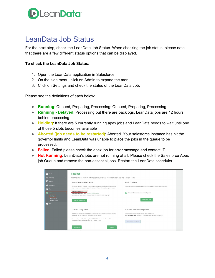

### <span id="page-3-0"></span>LeanData Job Status

For the next step, check the LeanData Job Status. When checking the job status, please note that there are a few different status options that can be displayed.

#### **To check the LeanData Job Status:**

- 1. Open the LeanData application in Salesforce.
- 2. On the side menu, click on Admin to expand the menu.
- 3. Click on Settings and check the status of the LeanData Job.

Please see the definitions of each below:

- **Running**: Queued, Preparing, Processing: Queued, Preparing, Processing
- **Running - Delayed**: Processing but there are backlogs. LeanData jobs are 12 hours behind processing
- **Holding**: If there are 5 currently running apex jobs and LeanData needs to wait until one of those 5 slots becomes available
- **Aborted (job needs to be restarted)**: Aborted. Your salesforce instance has hit the governor limits and LeanData was unable to place the jobs in the queue to be processed.
- **Failed**: Failed please check the apex job for error message and contact IT
- **Not Running**: LeanData's jobs are not running at all. Please check the Salesforce Apex job Queue and remove the non-essential jobs. Restart the LeanData scheduler

| Home<br>$\bigcirc$<br>Matching<br><b>e</b> Routing<br><b>III</b> Attribution<br><b>THE View</b><br>Admin<br>Settings<br>Permissions<br><b>Routing Usage</b><br>$\bigcirc$ Help | <b>Settings</b><br>Use this area to perform actions as discussed with your LeanData Customer Success Team<br>Restart LeanData Scheduler Job<br>Only restart LeanData scheduler job as indicated by your LeanData Customer Success Team.<br>Note: The user who restarts the job will be the user of record for LeanData system actions.<br>LeanData Job Status: Running<br>LeanData Integration User: Stephen Test Switchenko<br>Last Record Processed: 07/30/2019 06:15:23 AM ( approximately 1 days ago )<br><b>Restart Scheduler</b> | <b>Monitoring Alerts</b><br>Enter email addresses (comma separated) where LeanData monitoring alerts should go.<br>Copy LeanData operations on monitoring alerts.<br>Save Email List                  |  |  |  |  |
|--------------------------------------------------------------------------------------------------------------------------------------------------------------------------------|----------------------------------------------------------------------------------------------------------------------------------------------------------------------------------------------------------------------------------------------------------------------------------------------------------------------------------------------------------------------------------------------------------------------------------------------------------------------------------------------------------------------------------------|-------------------------------------------------------------------------------------------------------------------------------------------------------------------------------------------------------|--|--|--|--|
|                                                                                                                                                                                | LeanData Configuration<br>This is to upload LeanData configuration as provided by your Customer Success Team. Only<br>upload files that are provided by LeanData Customer Success<br>Custom Settings and Graph Last Updated: 7/1/2019 Select and upload a LeanData<br>configuration file (as provided by LeanData Customer Sucess)<br>Download<br>Upload                                                                                                                                                                               | Pull Latest LeanData Configuration<br>Synchronize LeanData Platform with the latest configuration<br>Last Successful Sync: 07/01/2019 11:08:43 AM ( approximately 30 days ago )<br>Sync Configuration |  |  |  |  |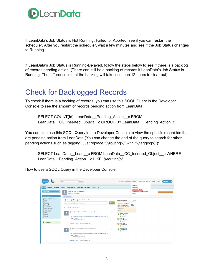

If LeanData's Job Status is Not Running, Failed, or Aborted, see if you can restart the scheduler. After you restart the scheduler, wait a few minutes and see if the Job Status changes to Running.

If LeanData's Job Status is Running-Delayed, follow the steps below to see if there is a backlog of records pending action. (There can still be a backlog of records if LeanData's Job Status is Running. The difference is that the backlog will take less than 12 hours to clear out)

### <span id="page-4-0"></span>Check for Backlogged Records

To check if there is a backlog of records, you can use this SOQL Query in the Developer Console to see the amount of records pending action from LeanData:

SELECT COUNT(Id), LeanData Pending Action c FROM LeanData CC Inserted Object c GROUP BY LeanData Pending Action c

You can also use this SOQL Query in the Developer Console to view the specific record ids that are pending action from LeanData (You can change the end of the query to search for other pending actions such as tagging. Just replace "%routing%" with "%tagging%"):

SELECT LeanData\_\_Lead\_\_c FROM LeanData\_\_CC\_Inserted\_Object\_\_c WHERE LeanData Pending Action c LIKE '%routing%'

How to use a SOQL Query in the Developer Console:

| salesforce                                             | Search<br>Search                                                                                   | <b>G</b> Switch to Lightning Experience                                                                | Stephen Test Swi *                                            | <b>Content</b><br>Help<br>Setup  |
|--------------------------------------------------------|----------------------------------------------------------------------------------------------------|--------------------------------------------------------------------------------------------------------|---------------------------------------------------------------|----------------------------------|
|                                                        |                                                                                                    |                                                                                                        | My Profile                                                    |                                  |
| Chatter<br>Libraries Content<br>Home                   | Subscriptions LeanData<br>Accounts<br>$Leads +$                                                    |                                                                                                        | My Settings                                                   |                                  |
| <b>Create New</b>                                      | Stephen Test Switchenko<br>Wednesday July 31, 2019                                                 |                                                                                                        | Developer Console<br>Switch to Lightning Experience<br>Logout | <b>Summer '19 for Developers</b> |
| <b>Recent Items</b>                                    | <b>Hide Feed</b>                                                                                   |                                                                                                        |                                                               |                                  |
| Stephen Test Switchenko<br>Shirts                      | New Event<br><b>Post</b><br>More $#$<br>a.<br>File                                                 | Recommendations                                                                                        | More                                                          |                                  |
| the viges<br>Karen Qin<br>Joe Sanchez<br>Lance Machado | Share an update, @mention someone<br>Q<br>Sort By Latest Posts ~                                   | <b>Share</b><br><b>Download Salesforce</b><br>Run your business<br>from your phone with<br>Salesforce. |                                                               |                                  |
| Jorge Suarez<br>Pants                                  | the viges - Stephen Test Switchenko posted a link.<br>д                                            | Skio<br>$\overline{\phantom{a}}$<br><b>Walter Sogard</b>                                               |                                                               |                                  |
| Shorts<br>cola uk                                      | P LeanData changed Owner from Lance Machado to Karen Qin by                                        | Owned by you<br><b>O</b> Follow                                                                        |                                                               |                                  |
|                                                        | Round Robin.<br>/0021U000005VrB3QAK                                                                | cola uk<br>Owned by you<br><b>O</b> Follow                                                             |                                                               |                                  |
| Recycle Bin                                            | Comment · Like · Yesterday at 6:15 AM                                                              | cola test<br>Owned by you<br><b>O</b> Follow                                                           |                                                               |                                  |
|                                                        | Shirts - Stephen Test Switchenko posted a link.<br>ᇰ                                               | orange fanta<br>$\omega$<br>Owned by you<br><b>O</b> Follow                                            |                                                               |                                  |
|                                                        | P LeanData changed Owner from Karen Qin to Lance Machado by<br>Round Robin.<br>/0021U000005VrB2QAK |                                                                                                        |                                                               |                                  |
|                                                        | Comment · Like · Yesterday at 6:15 AM                                                              |                                                                                                        |                                                               |                                  |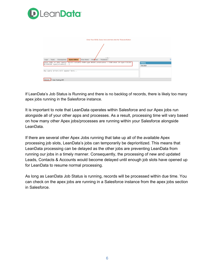

| Enter Your SOQL Query here and then click the "Execute Button"                                                                                                   |                            |     |
|------------------------------------------------------------------------------------------------------------------------------------------------------------------|----------------------------|-----|
| <b>Query Editor</b><br>Tests Checkpoints<br>View State<br>Progress<br>Problems<br>Logs                                                                           |                            | रिं |
| Enter SOQL or SOSL query: SELECT columns FROM type WHERE predicates   FIND what IN type FIELDS<br>RETURNING type(columns)[]<br>Any query errors will appear here | <b>History</b><br>Executed |     |
| Execute<br>Use Tooling API                                                                                                                                       |                            |     |

If LeanData's Job Status is Running and there is no backlog of records, there is likely too many apex jobs running in the Salesforce instance.

It is important to note that LeanData operates within Salesforce and our Apex jobs run alongside all of your other apps and processes. As a result, processing time will vary based on how many other Apex jobs/processes are running within your Salesforce alongside LeanData.

If there are several other Apex Jobs running that take up all of the available Apex processing job slots, LeanData's jobs can temporarily be deprioritized. This means that LeanData processing can be delayed as the other jobs are preventing LeanData from running our jobs in a timely manner. Consequently, the processing of new and updated Leads, Contacts & Accounts would become delayed until enough job slots have opened up for LeanData to resume normal processing.

As long as LeanData Job Status is running, records will be processed within due time. You can check on the apex jobs are running in a Salesforce instance from the apex jobs section in Salesforce.